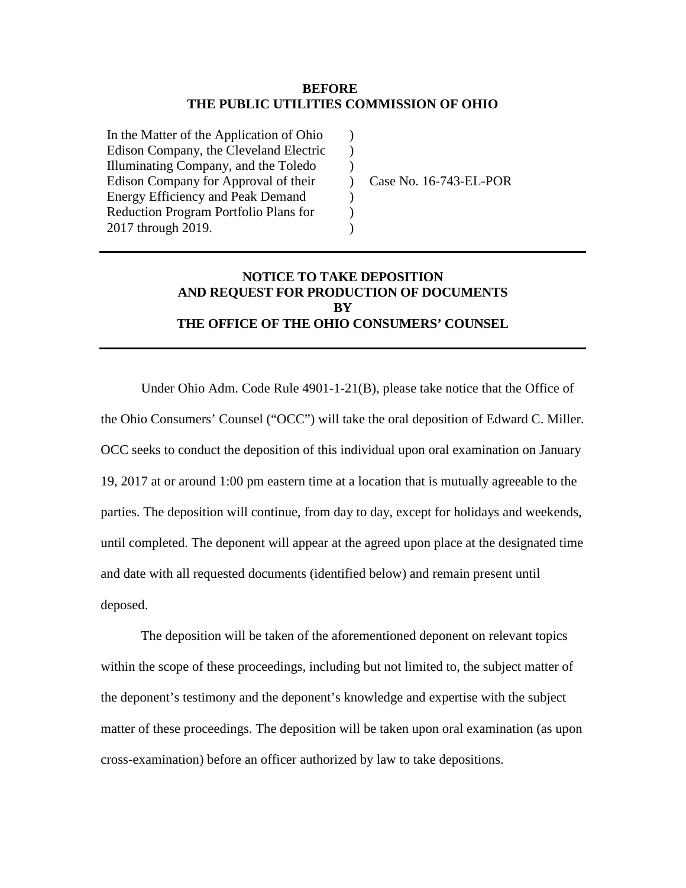#### **BEFORE THE PUBLIC UTILITIES COMMISSION OF OHIO**

)  $\lambda$ ) ) ) ) )

In the Matter of the Application of Ohio Edison Company, the Cleveland Electric Illuminating Company, and the Toledo Edison Company for Approval of their Energy Efficiency and Peak Demand Reduction Program Portfolio Plans for 2017 through 2019.

Case No. 16-743-EL-POR

## **NOTICE TO TAKE DEPOSITION AND REQUEST FOR PRODUCTION OF DOCUMENTS BY THE OFFICE OF THE OHIO CONSUMERS' COUNSEL**

Under Ohio Adm. Code Rule 4901-1-21(B), please take notice that the Office of the Ohio Consumers' Counsel ("OCC") will take the oral deposition of Edward C. Miller. OCC seeks to conduct the deposition of this individual upon oral examination on January 19, 2017 at or around 1:00 pm eastern time at a location that is mutually agreeable to the parties. The deposition will continue, from day to day, except for holidays and weekends, until completed. The deponent will appear at the agreed upon place at the designated time and date with all requested documents (identified below) and remain present until deposed.

The deposition will be taken of the aforementioned deponent on relevant topics within the scope of these proceedings, including but not limited to, the subject matter of the deponent's testimony and the deponent's knowledge and expertise with the subject matter of these proceedings. The deposition will be taken upon oral examination (as upon cross-examination) before an officer authorized by law to take depositions.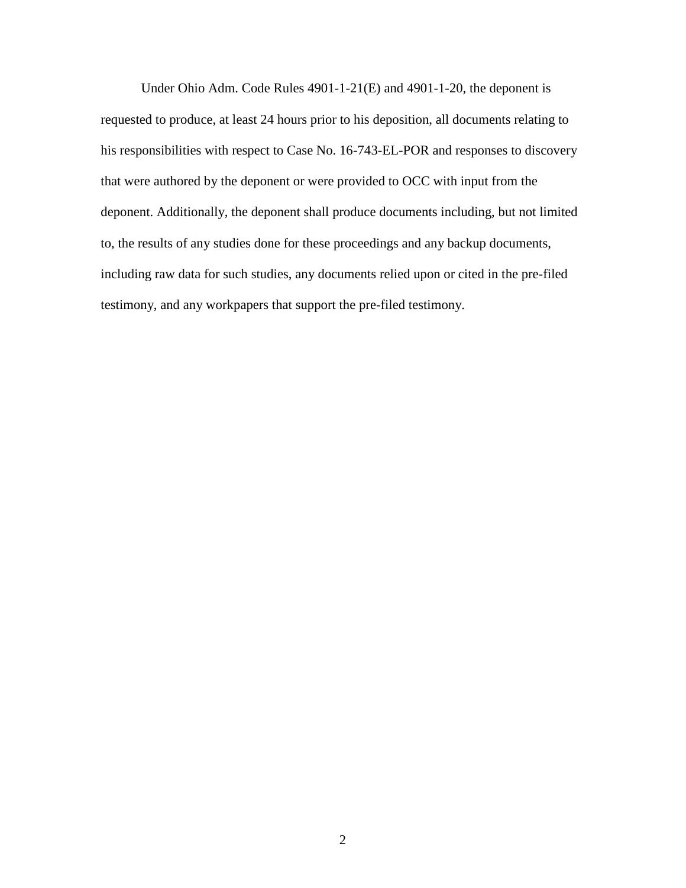Under Ohio Adm. Code Rules 4901-1-21(E) and 4901-1-20, the deponent is requested to produce, at least 24 hours prior to his deposition, all documents relating to his responsibilities with respect to Case No. 16-743-EL-POR and responses to discovery that were authored by the deponent or were provided to OCC with input from the deponent. Additionally, the deponent shall produce documents including, but not limited to, the results of any studies done for these proceedings and any backup documents, including raw data for such studies, any documents relied upon or cited in the pre-filed testimony, and any workpapers that support the pre-filed testimony.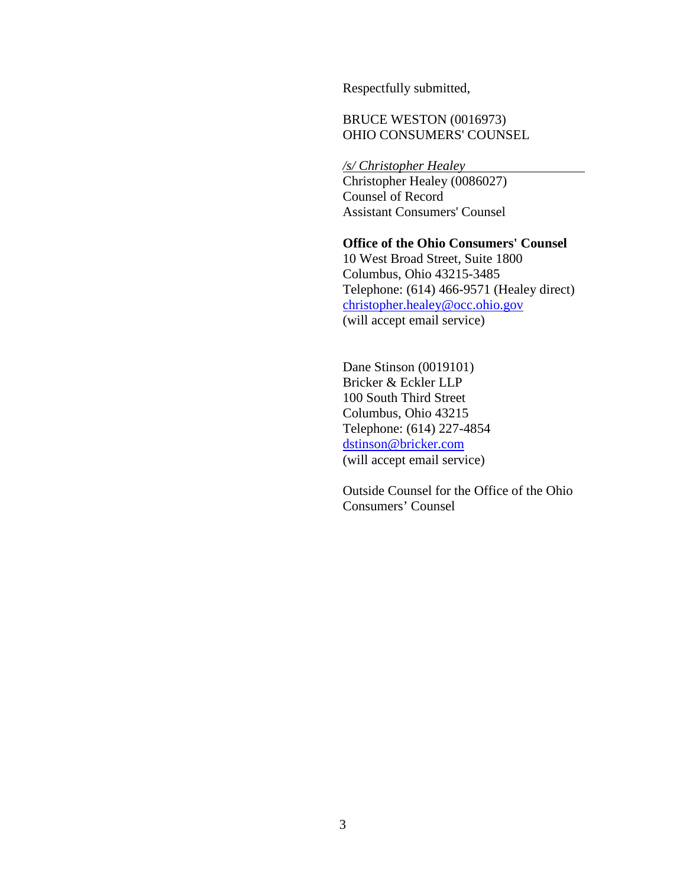Respectfully submitted,

## BRUCE WESTON (0016973) OHIO CONSUMERS' COUNSEL

*/s/ Christopher Healey*  Christopher Healey (0086027) Counsel of Record Assistant Consumers' Counsel

**Office of the Ohio Consumers' Counsel**  10 West Broad Street, Suite 1800 Columbus, Ohio 43215-3485 Telephone: (614) 466-9571 (Healey direct) christopher.healey@occ.ohio.gov (will accept email service)

Dane Stinson (0019101) Bricker & Eckler LLP 100 South Third Street Columbus, Ohio 43215 Telephone: (614) 227-4854 dstinson@bricker.com (will accept email service)

Outside Counsel for the Office of the Ohio Consumers' Counsel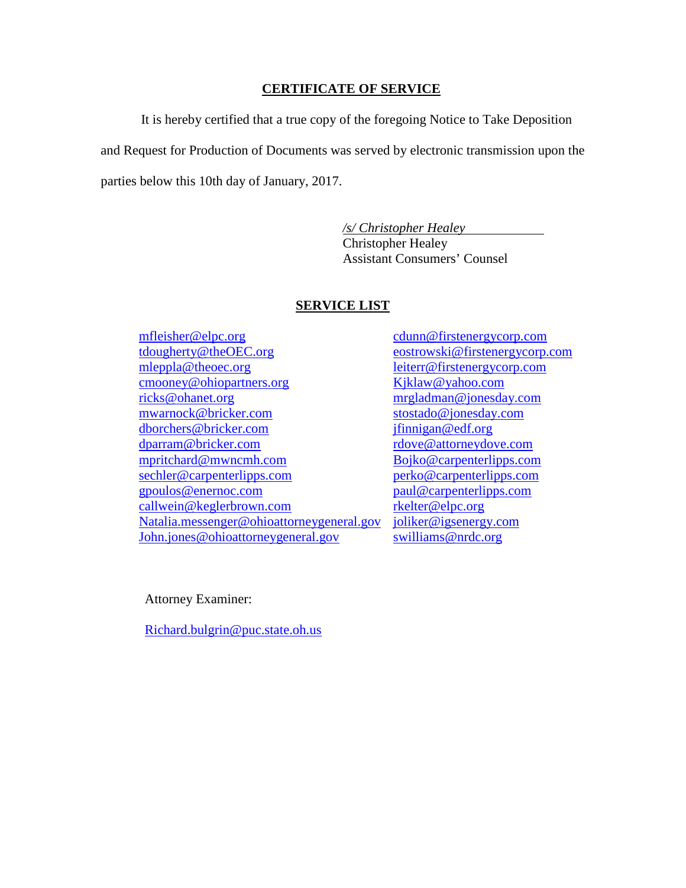#### **CERTIFICATE OF SERVICE**

It is hereby certified that a true copy of the foregoing Notice to Take Deposition and Request for Production of Documents was served by electronic transmission upon the parties below this 10th day of January, 2017.

> */s/ Christopher Healey*  Christopher Healey Assistant Consumers' Counsel

### **SERVICE LIST**

mfleisher@elpc.org tdougherty@theOEC.org mleppla@theoec.org cmooney@ohiopartners.org ricks@ohanet.org mwarnock@bricker.com dborchers@bricker.com dparram@bricker.com mpritchard@mwncmh.com sechler@carpenterlipps.com gpoulos@enernoc.com callwein@keglerbrown.com Natalia.messenger@ohioattorneygeneral.gov John.jones@ohioattorneygeneral.gov

cdunn@firstenergycorp.com eostrowski@firstenergycorp.com leiterr@firstenergycorp.com Kjklaw@yahoo.com mrgladman@jonesday.com stostado@jonesday.com jfinnigan@edf.org rdove@attorneydove.com Bojko@carpenterlipps.com perko@carpenterlipps.com paul@carpenterlipps.com rkelter@elpc.org joliker@igsenergy.com swilliams@nrdc.org

Attorney Examiner:

Richard.bulgrin@puc.state.oh.us